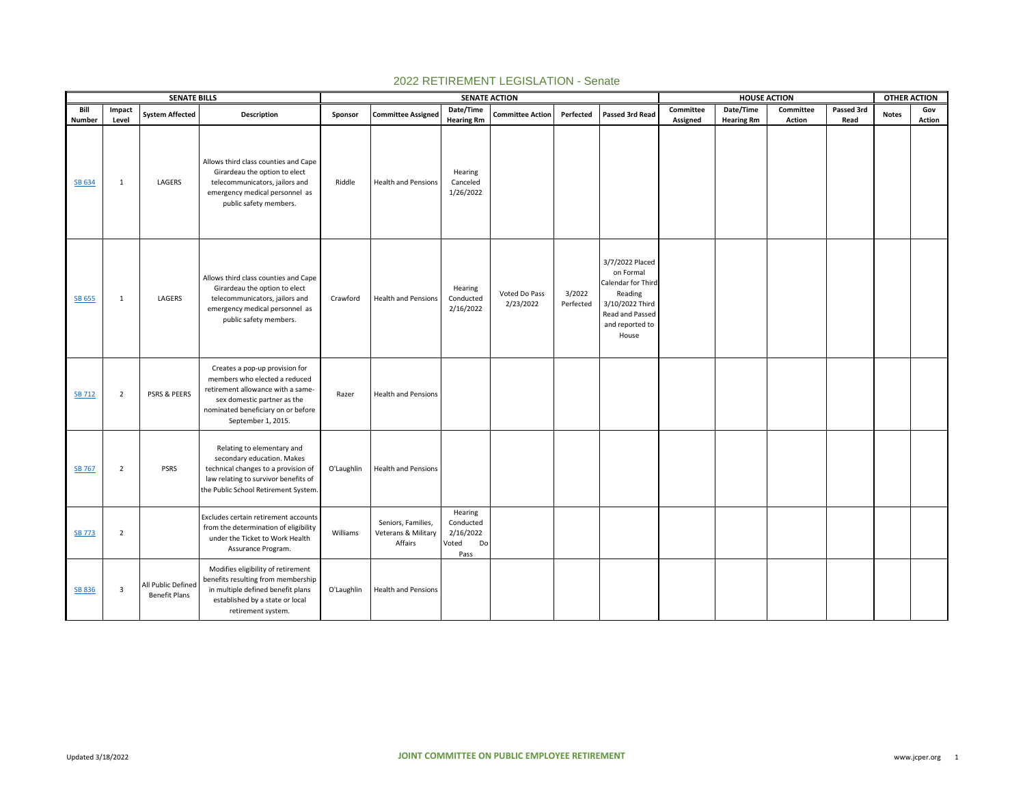|               |                         | <b>SENATE BILLS</b>                        |                                                                                                                                                                                                 |            |                                                      | <b>SENATE ACTION</b>                                     |                            |                     |                                                                                                                                 |           | <b>HOUSE ACTION</b> |           |            | <b>OTHER ACTION</b> |        |
|---------------|-------------------------|--------------------------------------------|-------------------------------------------------------------------------------------------------------------------------------------------------------------------------------------------------|------------|------------------------------------------------------|----------------------------------------------------------|----------------------------|---------------------|---------------------------------------------------------------------------------------------------------------------------------|-----------|---------------------|-----------|------------|---------------------|--------|
| Bill          | Impact                  | <b>System Affected</b>                     | Description                                                                                                                                                                                     | Sponsor    | <b>Committee Assigned</b>                            | Date/Time                                                | <b>Committee Action</b>    | Perfected           | Passed 3rd Read                                                                                                                 | Committee | Date/Time           | Committee | Passed 3rd | <b>Notes</b>        | Gov    |
| <b>Number</b> | Level                   |                                            |                                                                                                                                                                                                 |            |                                                      | <b>Hearing Rm</b>                                        |                            |                     |                                                                                                                                 | Assigned  | <b>Hearing Rm</b>   | Action    | Read       |                     | Action |
| SB 634        | 1                       | LAGERS                                     | Allows third class counties and Cape<br>Girardeau the option to elect<br>telecommunicators, jailors and<br>emergency medical personnel as<br>public safety members.                             | Riddle     | <b>Health and Pensions</b>                           | Hearing<br>Canceled<br>1/26/2022                         |                            |                     |                                                                                                                                 |           |                     |           |            |                     |        |
| <b>SB 655</b> | 1                       | LAGERS                                     | Allows third class counties and Cape<br>Girardeau the option to elect<br>telecommunicators, jailors and<br>emergency medical personnel as<br>public safety members.                             | Crawford   | <b>Health and Pensions</b>                           | Hearing<br>Conducted<br>2/16/2022                        | Voted Do Pass<br>2/23/2022 | 3/2022<br>Perfected | 3/7/2022 Placed<br>on Formal<br>Calendar for Thirc<br>Reading<br>3/10/2022 Third<br>Read and Passed<br>and reported to<br>House |           |                     |           |            |                     |        |
| <b>SB 712</b> | $\overline{2}$          | <b>PSRS &amp; PEERS</b>                    | Creates a pop-up provision for<br>members who elected a reduced<br>retirement allowance with a same-<br>sex domestic partner as the<br>nominated beneficiary on or before<br>September 1, 2015. | Razer      | <b>Health and Pensions</b>                           |                                                          |                            |                     |                                                                                                                                 |           |                     |           |            |                     |        |
| <b>SB 767</b> | 2                       | <b>PSRS</b>                                | Relating to elementary and<br>secondary education. Makes<br>technical changes to a provision of<br>law relating to survivor benefits of<br>the Public School Retirement System.                 | O'Laughlin | <b>Health and Pensions</b>                           |                                                          |                            |                     |                                                                                                                                 |           |                     |           |            |                     |        |
| <b>SB 773</b> | $\overline{2}$          |                                            | Excludes certain retirement accounts<br>from the determination of eligibility<br>under the Ticket to Work Health<br>Assurance Program.                                                          | Williams   | Seniors, Families,<br>Veterans & Military<br>Affairs | Hearing<br>Conducted<br>2/16/2022<br>Voted<br>Do<br>Pass |                            |                     |                                                                                                                                 |           |                     |           |            |                     |        |
| SB 836        | $\overline{\mathbf{3}}$ | All Public Defined<br><b>Benefit Plans</b> | Modifies eligibility of retirement<br>benefits resulting from membership<br>in multiple defined benefit plans<br>established by a state or local<br>retirement system.                          | O'Laughlin | <b>Health and Pensions</b>                           |                                                          |                            |                     |                                                                                                                                 |           |                     |           |            |                     |        |

## 2022 RETIREMENT LEGISLATION - Senate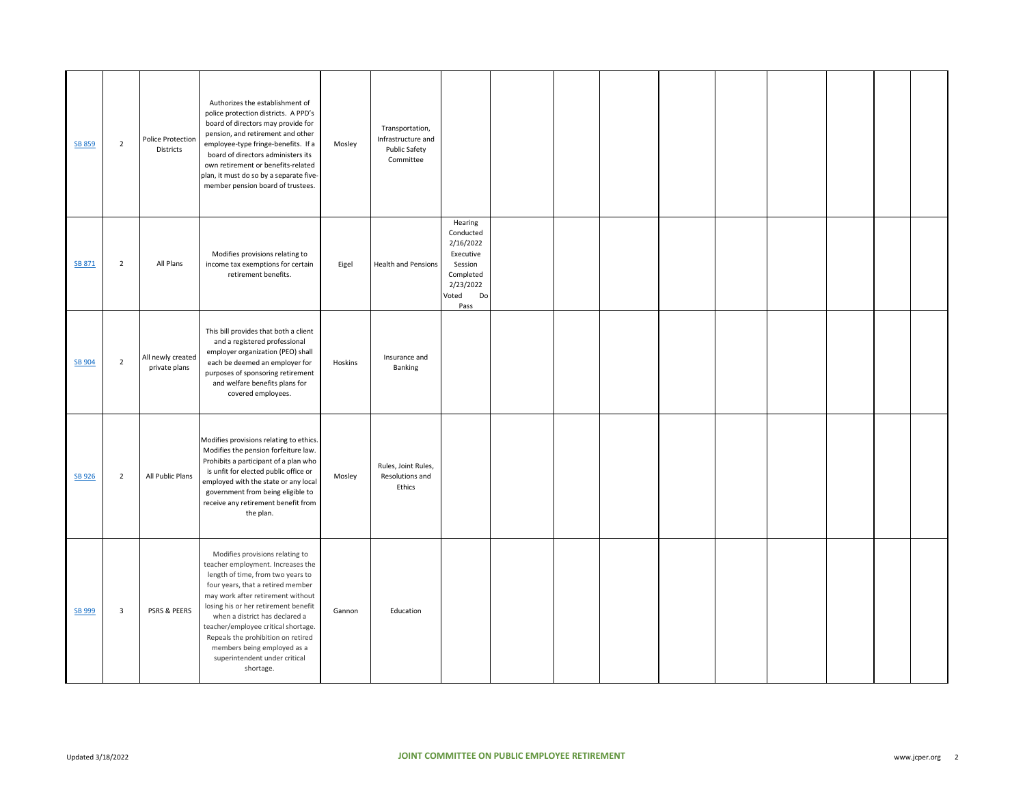| <b>SB 859</b> | $\overline{2}$ | Police Protection<br>Districts     | Authorizes the establishment of<br>police protection districts. A PPD's<br>board of directors may provide for<br>pension, and retirement and other<br>employee-type fringe-benefits. If a<br>board of directors administers its<br>own retirement or benefits-related<br>plan, it must do so by a separate five-<br>member pension board of trustees.                                                                   | Mosley  | Transportation,<br>Infrastructure and<br>Public Safety<br>Committee |                                                                                                            |  |  |  |  |  |
|---------------|----------------|------------------------------------|-------------------------------------------------------------------------------------------------------------------------------------------------------------------------------------------------------------------------------------------------------------------------------------------------------------------------------------------------------------------------------------------------------------------------|---------|---------------------------------------------------------------------|------------------------------------------------------------------------------------------------------------|--|--|--|--|--|
| SB 871        | $\overline{2}$ | All Plans                          | Modifies provisions relating to<br>income tax exemptions for certain<br>retirement benefits.                                                                                                                                                                                                                                                                                                                            | Eigel   | <b>Health and Pensions</b>                                          | Hearing<br>Conducted<br>2/16/2022<br>Executive<br>Session<br>Completed<br>2/23/2022<br>Voted<br>Do<br>Pass |  |  |  |  |  |
| SB 904        | $\overline{2}$ | All newly created<br>private plans | This bill provides that both a client<br>and a registered professional<br>employer organization (PEO) shall<br>each be deemed an employer for<br>purposes of sponsoring retirement<br>and welfare benefits plans for<br>covered employees.                                                                                                                                                                              | Hoskins | Insurance and<br>Banking                                            |                                                                                                            |  |  |  |  |  |
| <b>SB 926</b> | $\overline{2}$ | All Public Plans                   | Modifies provisions relating to ethics.<br>Modifies the pension forfeiture law.<br>Prohibits a participant of a plan who<br>is unfit for elected public office or<br>employed with the state or any local<br>government from being eligible to<br>receive any retirement benefit from<br>the plan.                                                                                                                      | Mosley  | Rules, Joint Rules,<br>Resolutions and<br>Ethics                    |                                                                                                            |  |  |  |  |  |
| SB 999        | $\mathbf{3}$   | PSRS & PEERS                       | Modifies provisions relating to<br>teacher employment. Increases the<br>length of time, from two years to<br>four years, that a retired member<br>may work after retirement without<br>losing his or her retirement benefit<br>when a district has declared a<br>teacher/employee critical shortage.<br>Repeals the prohibition on retired<br>members being employed as a<br>superintendent under critical<br>shortage. | Gannon  | Education                                                           |                                                                                                            |  |  |  |  |  |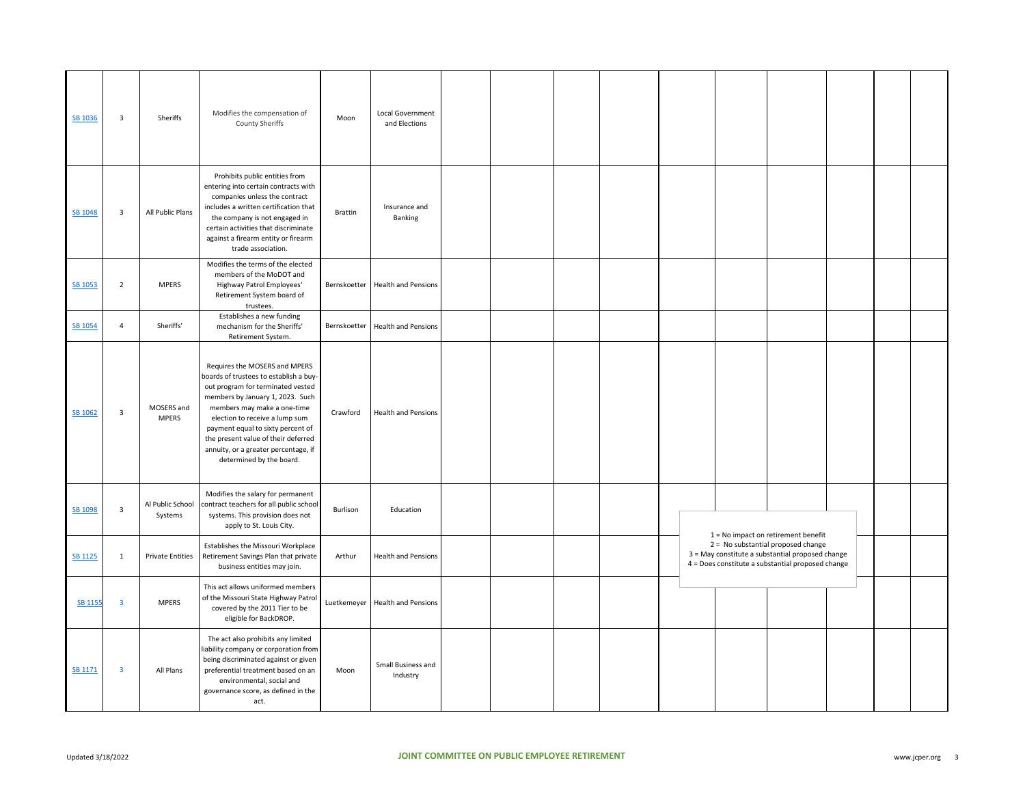| SB 1036        | $\overline{\mathbf{3}}$ | Sheriffs                    | Modifies the compensation of<br><b>County Sheriffs</b>                                                                                                                                                                                                                                                                                                            | Moon           | Local Government<br>and Elections |  |  |  |                                                                                                                                             |  |  |
|----------------|-------------------------|-----------------------------|-------------------------------------------------------------------------------------------------------------------------------------------------------------------------------------------------------------------------------------------------------------------------------------------------------------------------------------------------------------------|----------------|-----------------------------------|--|--|--|---------------------------------------------------------------------------------------------------------------------------------------------|--|--|
| SB 1048        | $\overline{\mathbf{3}}$ | All Public Plans            | Prohibits public entities from<br>entering into certain contracts with<br>companies unless the contract<br>includes a written certification that<br>the company is not engaged in<br>certain activities that discriminate<br>against a firearm entity or firearm<br>trade association.                                                                            | <b>Brattin</b> | Insurance and<br>Banking          |  |  |  |                                                                                                                                             |  |  |
| SB 1053        | $\overline{2}$          | <b>MPERS</b>                | Modifies the terms of the elected<br>members of the MoDOT and<br>Highway Patrol Employees'<br>Retirement System board of<br>trustees.                                                                                                                                                                                                                             |                | Bernskoetter Health and Pensions  |  |  |  |                                                                                                                                             |  |  |
| <b>SB 1054</b> | $\overline{4}$          | Sheriffs'                   | Establishes a new funding<br>mechanism for the Sheriffs'<br>Retirement System.                                                                                                                                                                                                                                                                                    |                | Bernskoetter Health and Pensions  |  |  |  |                                                                                                                                             |  |  |
| SB 1062        | $\overline{\mathbf{3}}$ | MOSERS and<br><b>MPERS</b>  | Requires the MOSERS and MPERS<br>boards of trustees to establish a buy-<br>out program for terminated vested<br>members by January 1, 2023. Such<br>members may make a one-time<br>election to receive a lump sum<br>payment equal to sixty percent of<br>the present value of their deferred<br>annuity, or a greater percentage, if<br>determined by the board. | Crawford       | <b>Health and Pensions</b>        |  |  |  |                                                                                                                                             |  |  |
| SB 1098        | $\overline{\mathbf{3}}$ | Al Public School<br>Systems | Modifies the salary for permanent<br>contract teachers for all public school<br>systems. This provision does not<br>apply to St. Louis City.                                                                                                                                                                                                                      | Burlison       | Education                         |  |  |  | $1 = No$ impact on retirement benefit                                                                                                       |  |  |
| SB 1125        | $\mathbf{1}$            | <b>Private Entities</b>     | Establishes the Missouri Workplace<br>Retirement Savings Plan that private<br>business entities may join.                                                                                                                                                                                                                                                         | Arthur         | <b>Health and Pensions</b>        |  |  |  | 2 = No substantial proposed change<br>3 = May constitute a substantial proposed change<br>4 = Does constitute a substantial proposed change |  |  |
| <b>SB 1155</b> | $\overline{\mathbf{3}}$ | <b>MPERS</b>                | This act allows uniformed members<br>of the Missouri State Highway Patrol<br>covered by the 2011 Tier to be<br>eligible for BackDROP.                                                                                                                                                                                                                             |                | Luetkemeyer Health and Pensions   |  |  |  |                                                                                                                                             |  |  |
| <b>SB 1171</b> | 3                       | All Plans                   | The act also prohibits any limited<br>iability company or corporation from<br>being discriminated against or given<br>preferential treatment based on an<br>environmental, social and<br>governance score, as defined in the<br>act.                                                                                                                              | Moon           | Small Business and<br>Industry    |  |  |  |                                                                                                                                             |  |  |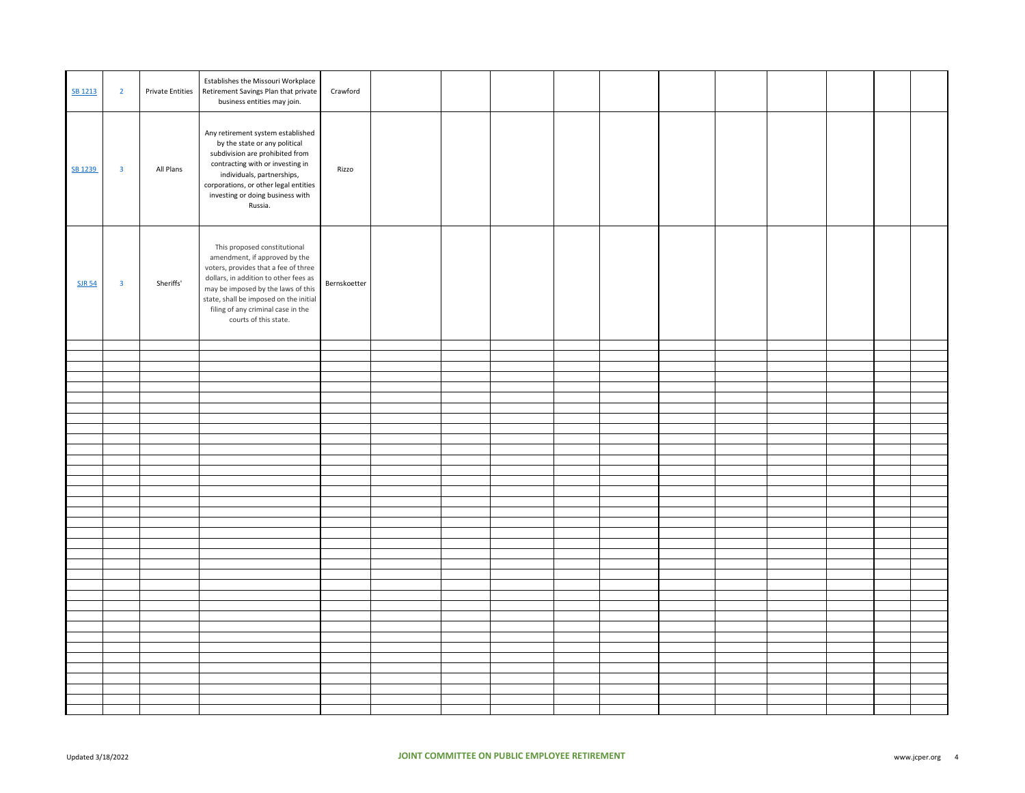| SB 1213       | $\overline{2}$          | <b>Private Entities</b> | Establishes the Missouri Workplace<br>Retirement Savings Plan that private<br>business entities may join.                                                                                                                                                                                     | Crawford     |  |  |  |  |  |  |
|---------------|-------------------------|-------------------------|-----------------------------------------------------------------------------------------------------------------------------------------------------------------------------------------------------------------------------------------------------------------------------------------------|--------------|--|--|--|--|--|--|
| SB 1239       | $\overline{\mathbf{3}}$ | All Plans               | Any retirement system established<br>by the state or any political<br>subdivision are prohibited from<br>contracting with or investing in<br>individuals, partnerships,<br>corporations, or other legal entities<br>investing or doing business with<br>Russia.                               | Rizzo        |  |  |  |  |  |  |
| <b>SJR 54</b> | $\overline{\mathbf{3}}$ | Sheriffs'               | This proposed constitutional<br>amendment, if approved by the<br>voters, provides that a fee of three<br>dollars, in addition to other fees as<br>may be imposed by the laws of this<br>state, shall be imposed on the initial<br>filing of any criminal case in the<br>courts of this state. | Bernskoetter |  |  |  |  |  |  |
|               |                         |                         |                                                                                                                                                                                                                                                                                               |              |  |  |  |  |  |  |
|               |                         |                         |                                                                                                                                                                                                                                                                                               |              |  |  |  |  |  |  |
|               |                         |                         |                                                                                                                                                                                                                                                                                               |              |  |  |  |  |  |  |
|               |                         |                         |                                                                                                                                                                                                                                                                                               |              |  |  |  |  |  |  |
|               |                         |                         |                                                                                                                                                                                                                                                                                               |              |  |  |  |  |  |  |
|               |                         |                         |                                                                                                                                                                                                                                                                                               |              |  |  |  |  |  |  |
|               |                         |                         |                                                                                                                                                                                                                                                                                               |              |  |  |  |  |  |  |
|               |                         |                         |                                                                                                                                                                                                                                                                                               |              |  |  |  |  |  |  |
|               |                         |                         |                                                                                                                                                                                                                                                                                               |              |  |  |  |  |  |  |
|               |                         |                         |                                                                                                                                                                                                                                                                                               |              |  |  |  |  |  |  |
|               |                         |                         |                                                                                                                                                                                                                                                                                               |              |  |  |  |  |  |  |
|               |                         |                         |                                                                                                                                                                                                                                                                                               |              |  |  |  |  |  |  |
|               |                         |                         |                                                                                                                                                                                                                                                                                               |              |  |  |  |  |  |  |
|               |                         |                         |                                                                                                                                                                                                                                                                                               |              |  |  |  |  |  |  |
|               |                         |                         |                                                                                                                                                                                                                                                                                               |              |  |  |  |  |  |  |
|               |                         |                         |                                                                                                                                                                                                                                                                                               |              |  |  |  |  |  |  |
|               |                         |                         |                                                                                                                                                                                                                                                                                               |              |  |  |  |  |  |  |
|               |                         |                         |                                                                                                                                                                                                                                                                                               |              |  |  |  |  |  |  |
|               |                         |                         |                                                                                                                                                                                                                                                                                               |              |  |  |  |  |  |  |
|               |                         |                         |                                                                                                                                                                                                                                                                                               |              |  |  |  |  |  |  |
|               |                         |                         |                                                                                                                                                                                                                                                                                               |              |  |  |  |  |  |  |
|               |                         |                         |                                                                                                                                                                                                                                                                                               |              |  |  |  |  |  |  |
|               |                         |                         |                                                                                                                                                                                                                                                                                               |              |  |  |  |  |  |  |
|               |                         |                         |                                                                                                                                                                                                                                                                                               |              |  |  |  |  |  |  |
|               |                         |                         |                                                                                                                                                                                                                                                                                               |              |  |  |  |  |  |  |
|               |                         |                         |                                                                                                                                                                                                                                                                                               |              |  |  |  |  |  |  |
|               |                         |                         |                                                                                                                                                                                                                                                                                               |              |  |  |  |  |  |  |
|               |                         |                         |                                                                                                                                                                                                                                                                                               |              |  |  |  |  |  |  |
|               |                         |                         |                                                                                                                                                                                                                                                                                               |              |  |  |  |  |  |  |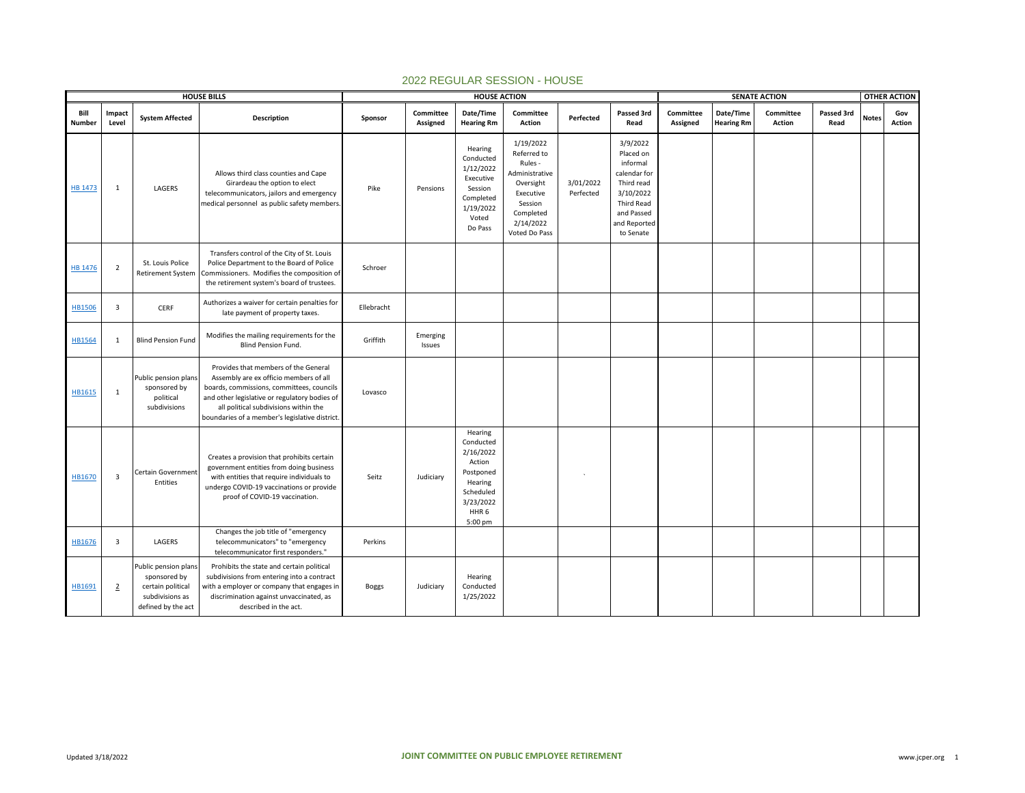|                       |                         |                                                                                                    | <b>HOUSE BILLS</b>                                                                                                                                                                                                                                                     |              |                       | <b>HOUSE ACTION</b>                                                                                                          |                                                                                                                                       |                        |                                                                                                                                              |                       |                                | <b>SENATE ACTION</b>       |                    |              | <b>OTHER ACTION</b>  |
|-----------------------|-------------------------|----------------------------------------------------------------------------------------------------|------------------------------------------------------------------------------------------------------------------------------------------------------------------------------------------------------------------------------------------------------------------------|--------------|-----------------------|------------------------------------------------------------------------------------------------------------------------------|---------------------------------------------------------------------------------------------------------------------------------------|------------------------|----------------------------------------------------------------------------------------------------------------------------------------------|-----------------------|--------------------------------|----------------------------|--------------------|--------------|----------------------|
| Bill<br><b>Number</b> | Impact<br>Level         | <b>System Affected</b>                                                                             | Description                                                                                                                                                                                                                                                            | Sponsor      | Committee<br>Assigned | Date/Time<br><b>Hearing Rm</b>                                                                                               | Committee<br><b>Action</b>                                                                                                            | Perfected              | Passed 3rd<br>Read                                                                                                                           | Committee<br>Assigned | Date/Time<br><b>Hearing Rm</b> | Committee<br><b>Action</b> | Passed 3rd<br>Read | <b>Notes</b> | Gov<br><b>Action</b> |
| <b>HB 1473</b>        | $\mathbf{1}$            | LAGERS                                                                                             | Allows third class counties and Cape<br>Girardeau the option to elect<br>telecommunicators, jailors and emergency<br>medical personnel as public safety members                                                                                                        | Pike         | Pensions              | Hearing<br>Conducted<br>1/12/2022<br>Executive<br>Session<br>Completed<br>1/19/2022<br>Voted<br>Do Pass                      | 1/19/2022<br>Referred to<br>Rules -<br>Administrative<br>Oversight<br>Executive<br>Session<br>Completed<br>2/14/2022<br>Voted Do Pass | 3/01/2022<br>Perfected | 3/9/2022<br>Placed on<br>informal<br>calendar for<br>Third read<br>3/10/2022<br><b>Third Read</b><br>and Passed<br>and Reported<br>to Senate |                       |                                |                            |                    |              |                      |
| <b>HB 1476</b>        | $\overline{2}$          | St. Louis Police<br><b>Retirement System</b>                                                       | Transfers control of the City of St. Louis<br>Police Department to the Board of Police<br>Commissioners. Modifies the composition of<br>the retirement system's board of trustees.                                                                                     | Schroer      |                       |                                                                                                                              |                                                                                                                                       |                        |                                                                                                                                              |                       |                                |                            |                    |              |                      |
| <b>HB1506</b>         | $\overline{\mathbf{3}}$ | CERF                                                                                               | Authorizes a waiver for certain penalties for<br>late payment of property taxes.                                                                                                                                                                                       | Ellebracht   |                       |                                                                                                                              |                                                                                                                                       |                        |                                                                                                                                              |                       |                                |                            |                    |              |                      |
| HB1564                | 1                       | <b>Blind Pension Fund</b>                                                                          | Modifies the mailing requirements for the<br>Blind Pension Fund.                                                                                                                                                                                                       | Griffith     | Emerging<br>Issues    |                                                                                                                              |                                                                                                                                       |                        |                                                                                                                                              |                       |                                |                            |                    |              |                      |
| HB1615                | $\mathbf{1}$            | Public pension plans<br>sponsored by<br>political<br>subdivisions                                  | Provides that members of the General<br>Assembly are ex officio members of all<br>boards, commissions, committees, councils<br>and other legislative or regulatory bodies of<br>all political subdivisions within the<br>boundaries of a member's legislative district | Lovasco      |                       |                                                                                                                              |                                                                                                                                       |                        |                                                                                                                                              |                       |                                |                            |                    |              |                      |
| HB1670                | $\overline{\mathbf{3}}$ | Certain Government<br>Entities                                                                     | Creates a provision that prohibits certain<br>government entities from doing business<br>with entities that require individuals to<br>undergo COVID-19 vaccinations or provide<br>proof of COVID-19 vaccination.                                                       | Seitz        | Judiciary             | Hearing<br>Conducted<br>2/16/2022<br>Action<br>Postponed<br>Hearing<br>Scheduled<br>3/23/2022<br>HHR <sub>6</sub><br>5:00 pm |                                                                                                                                       |                        |                                                                                                                                              |                       |                                |                            |                    |              |                      |
| HB1676                | $\overline{3}$          | LAGERS                                                                                             | Changes the job title of "emergency<br>telecommunicators" to "emergency<br>telecommunicator first responders."                                                                                                                                                         | Perkins      |                       |                                                                                                                              |                                                                                                                                       |                        |                                                                                                                                              |                       |                                |                            |                    |              |                      |
| HB1691                | $\overline{2}$          | Public pension plans<br>sponsored by<br>certain political<br>subdivisions as<br>defined by the act | Prohibits the state and certain political<br>subdivisions from entering into a contract<br>with a employer or company that engages in<br>discrimination against unvaccinated, as<br>described in the act.                                                              | <b>Boggs</b> | Judiciary             | Hearing<br>Conducted<br>1/25/2022                                                                                            |                                                                                                                                       |                        |                                                                                                                                              |                       |                                |                            |                    |              |                      |

## 2022 REGULAR SESSION - HOUSE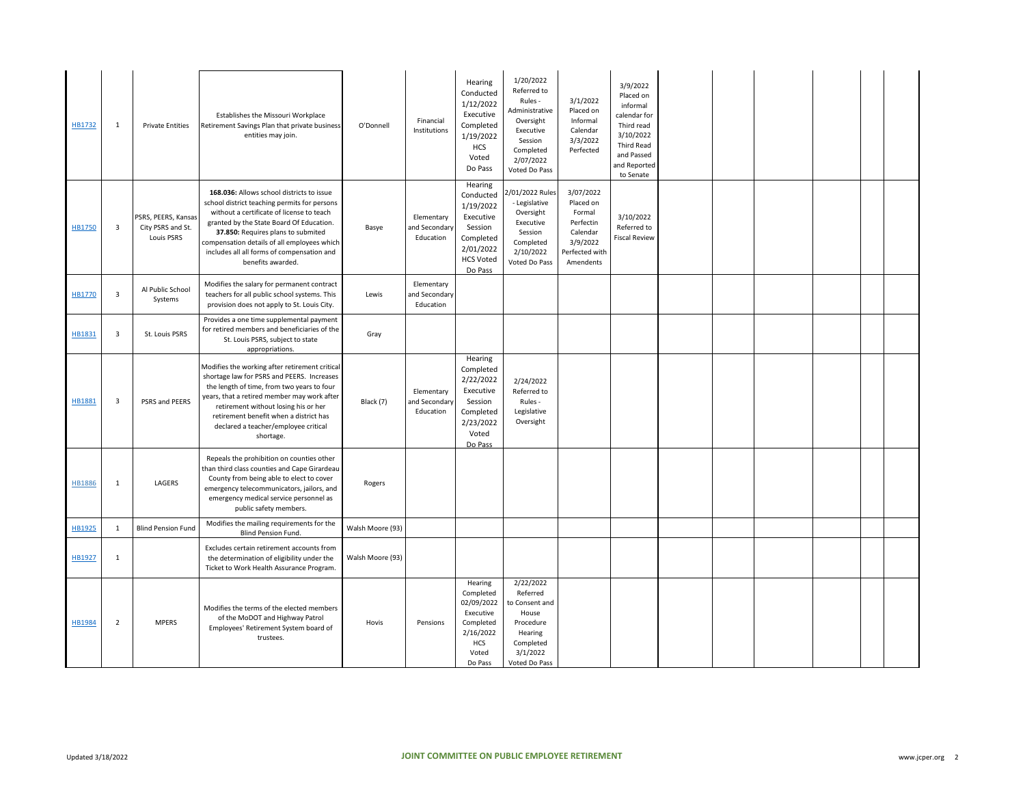| HB1732        | 1                       | <b>Private Entities</b>                                | Establishes the Missouri Workplace<br>Retirement Savings Plan that private business<br>entities may join.                                                                                                                                                                                                                                  | O'Donnell        | Financial<br>Institutions                | Hearing<br>Conducted<br>1/12/2022<br>Executive<br>Completed<br>1/19/2022<br><b>HCS</b><br>Voted<br>Do Pass         | 1/20/2022<br>Referred to<br>Rules -<br>Administrative<br>Oversight<br>Executive<br>Session<br>Completed<br>2/07/2022<br>Voted Do Pass | 3/1/2022<br>Placed on<br>Informal<br>Calendar<br>3/3/2022<br>Perfected                               | 3/9/2022<br>Placed on<br>informal<br>calendar for<br>Third read<br>3/10/2022<br><b>Third Read</b><br>and Passed<br>and Reported<br>to Senate |  |  |  |
|---------------|-------------------------|--------------------------------------------------------|--------------------------------------------------------------------------------------------------------------------------------------------------------------------------------------------------------------------------------------------------------------------------------------------------------------------------------------------|------------------|------------------------------------------|--------------------------------------------------------------------------------------------------------------------|---------------------------------------------------------------------------------------------------------------------------------------|------------------------------------------------------------------------------------------------------|----------------------------------------------------------------------------------------------------------------------------------------------|--|--|--|
| <b>HB1750</b> | $\overline{\mathbf{3}}$ | PSRS, PEERS, Kansas<br>City PSRS and St.<br>Louis PSRS | 168.036: Allows school districts to issue<br>school district teaching permits for persons<br>without a certificate of license to teach<br>granted by the State Board Of Education.<br>37.850: Requires plans to submited<br>compensation details of all employees which<br>includes all all forms of compensation and<br>benefits awarded. | Basye            | Elementary<br>and Secondary<br>Education | Hearing<br>Conducted<br>1/19/2022<br>Executive<br>Session<br>Completed<br>2/01/2022<br><b>HCS Voted</b><br>Do Pass | 2/01/2022 Rules<br>- Legislative<br>Oversight<br>Executive<br>Session<br>Completed<br>2/10/2022<br>Voted Do Pass                      | 3/07/2022<br>Placed on<br>Formal<br>Perfectin<br>Calendar<br>3/9/2022<br>Perfected with<br>Amendents | 3/10/2022<br>Referred to<br><b>Fiscal Review</b>                                                                                             |  |  |  |
| HB1770        | $\overline{\mathbf{3}}$ | Al Public School<br>Systems                            | Modifies the salary for permanent contract<br>teachers for all public school systems. This<br>provision does not apply to St. Louis City.                                                                                                                                                                                                  | Lewis            | Elementary<br>and Secondary<br>Education |                                                                                                                    |                                                                                                                                       |                                                                                                      |                                                                                                                                              |  |  |  |
| HB1831        | $\overline{\mathbf{3}}$ | St. Louis PSRS                                         | Provides a one time supplemental payment<br>for retired members and beneficiaries of the<br>St. Louis PSRS, subject to state<br>appropriations.                                                                                                                                                                                            | Gray             |                                          |                                                                                                                    |                                                                                                                                       |                                                                                                      |                                                                                                                                              |  |  |  |
| <b>HB1881</b> | $\overline{\mathbf{3}}$ | PSRS and PEERS                                         | Modifies the working after retirement critical<br>shortage law for PSRS and PEERS. Increases<br>the length of time, from two years to four<br>years, that a retired member may work after<br>retirement without losing his or her<br>retirement benefit when a district has<br>declared a teacher/employee critical<br>shortage.           | Black (7)        | Elementary<br>and Secondary<br>Education | Hearing<br>Completed<br>2/22/2022<br>Executive<br>Session<br>Completed<br>2/23/2022<br>Voted<br>Do Pass            | 2/24/2022<br>Referred to<br>Rules -<br>Legislative<br>Oversight                                                                       |                                                                                                      |                                                                                                                                              |  |  |  |
| HB1886        | 1                       | LAGERS                                                 | Repeals the prohibition on counties other<br>than third class counties and Cape Girardeau<br>County from being able to elect to cover<br>emergency telecommunicators, jailors, and<br>emergency medical service personnel as<br>public safety members.                                                                                     | Rogers           |                                          |                                                                                                                    |                                                                                                                                       |                                                                                                      |                                                                                                                                              |  |  |  |
| HB1925        | 1                       | <b>Blind Pension Fund</b>                              | Modifies the mailing requirements for the<br><b>Blind Pension Fund.</b>                                                                                                                                                                                                                                                                    | Walsh Moore (93) |                                          |                                                                                                                    |                                                                                                                                       |                                                                                                      |                                                                                                                                              |  |  |  |
| HB1927        | 1                       |                                                        | Excludes certain retirement accounts from<br>the determination of eligibility under the<br>Ticket to Work Health Assurance Program.                                                                                                                                                                                                        | Walsh Moore (93) |                                          |                                                                                                                    |                                                                                                                                       |                                                                                                      |                                                                                                                                              |  |  |  |
| <b>HB1984</b> | $\overline{2}$          | <b>MPERS</b>                                           | Modifies the terms of the elected members<br>of the MoDOT and Highway Patrol<br>Employees' Retirement System board of<br>trustees.                                                                                                                                                                                                         | Hovis            | Pensions                                 | Hearing<br>Completed<br>02/09/2022<br>Executive<br>Completed<br>2/16/2022<br><b>HCS</b><br>Voted<br>Do Pass        | 2/22/2022<br>Referred<br>to Consent and<br>House<br>Procedure<br>Hearing<br>Completed<br>3/1/2022<br>Voted Do Pass                    |                                                                                                      |                                                                                                                                              |  |  |  |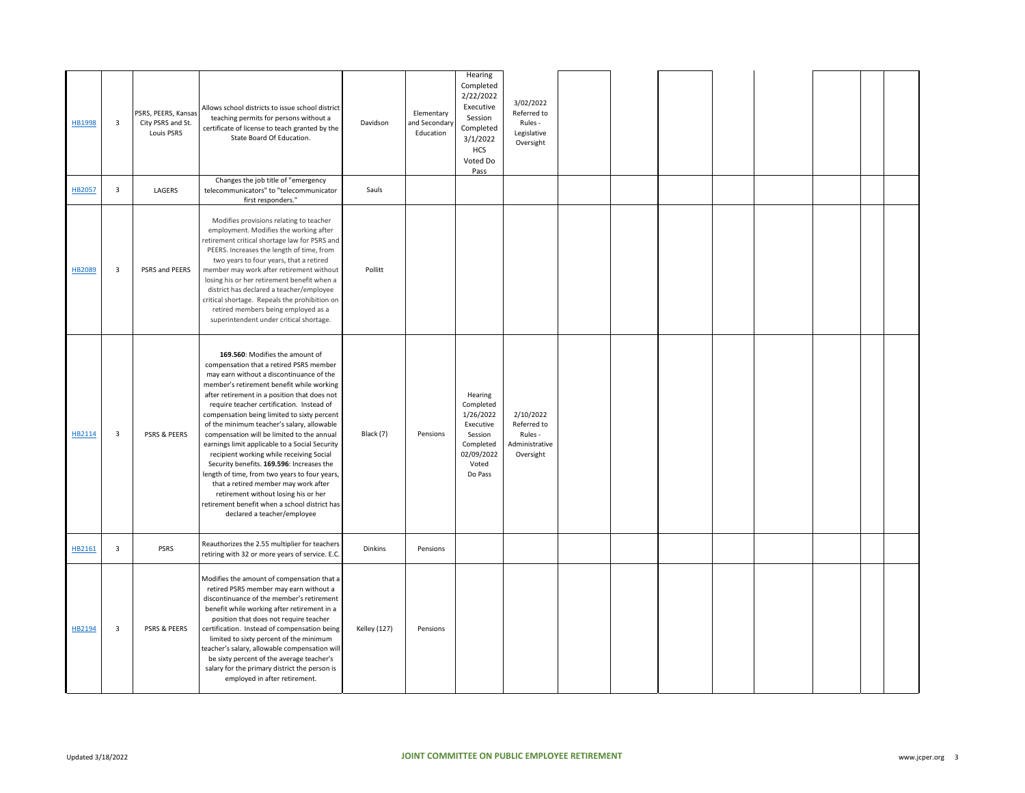| HB1998 | $\overline{\mathbf{3}}$ | PSRS, PEERS, Kansas<br>City PSRS and St.<br>Louis PSRS | Allows school districts to issue school district<br>teaching permits for persons without a<br>certificate of license to teach granted by the<br>State Board Of Education.                                                                                                                                                                                                                                                                                                                                                                                                                                                                                                                                                                                               | Davidson            | Elementary<br>and Secondary<br>Education | Hearing<br>Completed<br>2/22/2022<br>Executive<br>Session<br>Completed<br>3/1/2022<br><b>HCS</b><br>Voted Do<br>Pass | 3/02/2022<br>Referred to<br>Rules -<br>Legislative<br>Oversight    |  |  |  |  |
|--------|-------------------------|--------------------------------------------------------|-------------------------------------------------------------------------------------------------------------------------------------------------------------------------------------------------------------------------------------------------------------------------------------------------------------------------------------------------------------------------------------------------------------------------------------------------------------------------------------------------------------------------------------------------------------------------------------------------------------------------------------------------------------------------------------------------------------------------------------------------------------------------|---------------------|------------------------------------------|----------------------------------------------------------------------------------------------------------------------|--------------------------------------------------------------------|--|--|--|--|
| HB2057 | $\overline{\mathbf{3}}$ | LAGERS                                                 | Changes the job title of "emergency<br>telecommunicators" to "telecommunicator<br>first responders."                                                                                                                                                                                                                                                                                                                                                                                                                                                                                                                                                                                                                                                                    | Sauls               |                                          |                                                                                                                      |                                                                    |  |  |  |  |
| HB2089 | $\overline{\mathbf{3}}$ | PSRS and PEERS                                         | Modifies provisions relating to teacher<br>employment. Modifies the working after<br>retirement critical shortage law for PSRS and<br>PEERS. Increases the length of time, from<br>two years to four years, that a retired<br>member may work after retirement without<br>losing his or her retirement benefit when a<br>district has declared a teacher/employee<br>critical shortage. Repeals the prohibition on<br>retired members being employed as a<br>superintendent under critical shortage.                                                                                                                                                                                                                                                                    | Pollitt             |                                          |                                                                                                                      |                                                                    |  |  |  |  |
| HB2114 | $\overline{\mathbf{3}}$ | <b>PSRS &amp; PEERS</b>                                | 169.560: Modifies the amount of<br>compensation that a retired PSRS member<br>may earn without a discontinuance of the<br>member's retirement benefit while working<br>after retirement in a position that does not<br>require teacher certification. Instead of<br>compensation being limited to sixty percent<br>of the minimum teacher's salary, allowable<br>compensation will be limited to the annual<br>earnings limit applicable to a Social Security<br>recipient working while receiving Social<br>Security benefits. 169.596: Increases the<br>length of time, from two years to four years,<br>that a retired member may work after<br>retirement without losing his or her<br>retirement benefit when a school district has<br>declared a teacher/employee | Black (7)           | Pensions                                 | Hearing<br>Completed<br>1/26/2022<br>Executive<br>Session<br>Completed<br>02/09/2022<br>Voted<br>Do Pass             | 2/10/2022<br>Referred to<br>Rules -<br>Administrative<br>Oversight |  |  |  |  |
| HB2161 | $\overline{\mathbf{3}}$ | <b>PSRS</b>                                            | Reauthorizes the 2.55 multiplier for teachers<br>retiring with 32 or more years of service. E.C                                                                                                                                                                                                                                                                                                                                                                                                                                                                                                                                                                                                                                                                         | Dinkins             | Pensions                                 |                                                                                                                      |                                                                    |  |  |  |  |
| HB2194 | $\overline{\mathbf{3}}$ | <b>PSRS &amp; PEERS</b>                                | Modifies the amount of compensation that a<br>retired PSRS member may earn without a<br>discontinuance of the member's retirement<br>benefit while working after retirement in a<br>position that does not require teacher<br>certification. Instead of compensation being<br>limited to sixty percent of the minimum<br>teacher's salary, allowable compensation will<br>be sixty percent of the average teacher's<br>salary for the primary district the person is<br>employed in after retirement.                                                                                                                                                                                                                                                                   | <b>Kelley (127)</b> | Pensions                                 |                                                                                                                      |                                                                    |  |  |  |  |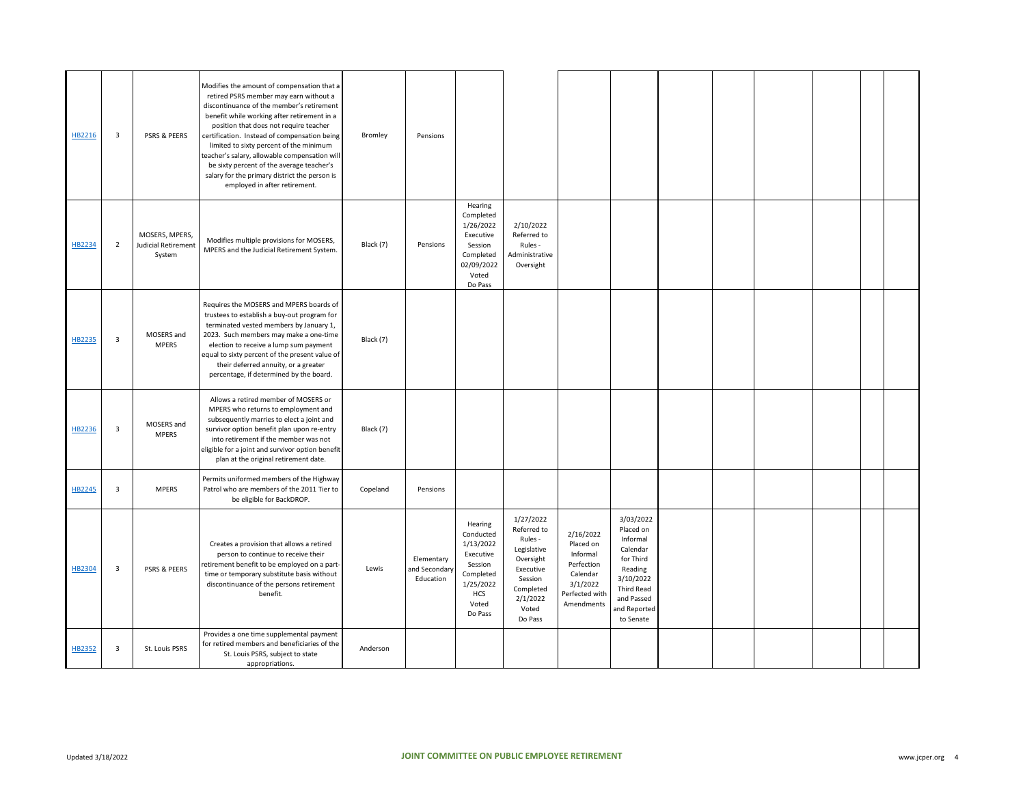| HB2216 | 3              | <b>PSRS &amp; PEERS</b>                                | Modifies the amount of compensation that a<br>retired PSRS member may earn without a<br>discontinuance of the member's retirement<br>benefit while working after retirement in a<br>position that does not require teacher<br>certification. Instead of compensation being<br>limited to sixty percent of the minimum<br>teacher's salary, allowable compensation will | Bromley   | Pensions                                 |                                                                                                                       |                                                                                                                                      |                                                                                                          |                                                                                                                                                     |  |  |  |
|--------|----------------|--------------------------------------------------------|------------------------------------------------------------------------------------------------------------------------------------------------------------------------------------------------------------------------------------------------------------------------------------------------------------------------------------------------------------------------|-----------|------------------------------------------|-----------------------------------------------------------------------------------------------------------------------|--------------------------------------------------------------------------------------------------------------------------------------|----------------------------------------------------------------------------------------------------------|-----------------------------------------------------------------------------------------------------------------------------------------------------|--|--|--|
|        |                |                                                        | be sixty percent of the average teacher's<br>salary for the primary district the person is<br>employed in after retirement.                                                                                                                                                                                                                                            |           |                                          |                                                                                                                       |                                                                                                                                      |                                                                                                          |                                                                                                                                                     |  |  |  |
| HB2234 | $\overline{2}$ | MOSERS, MPERS,<br><b>Judicial Retirement</b><br>System | Modifies multiple provisions for MOSERS,<br>MPERS and the Judicial Retirement System.                                                                                                                                                                                                                                                                                  | Black (7) | Pensions                                 | Hearing<br>Completed<br>1/26/2022<br>Executive<br>Session<br>Completed<br>02/09/2022<br>Voted<br>Do Pass              | 2/10/2022<br>Referred to<br>Rules -<br>Administrative<br>Oversight                                                                   |                                                                                                          |                                                                                                                                                     |  |  |  |
| HB2235 | 3              | MOSERS and<br><b>MPERS</b>                             | Requires the MOSERS and MPERS boards of<br>trustees to establish a buy-out program for<br>terminated vested members by January 1,<br>2023. Such members may make a one-time<br>election to receive a lump sum payment<br>equal to sixty percent of the present value of<br>their deferred annuity, or a greater<br>percentage, if determined by the board.             | Black (7) |                                          |                                                                                                                       |                                                                                                                                      |                                                                                                          |                                                                                                                                                     |  |  |  |
| HB2236 | 3              | MOSERS and<br><b>MPERS</b>                             | Allows a retired member of MOSERS or<br>MPERS who returns to employment and<br>subsequently marries to elect a joint and<br>survivor option benefit plan upon re-entry<br>into retirement if the member was not<br>eligible for a joint and survivor option benefit<br>plan at the original retirement date.                                                           | Black (7) |                                          |                                                                                                                       |                                                                                                                                      |                                                                                                          |                                                                                                                                                     |  |  |  |
| HB2245 | 3              | <b>MPERS</b>                                           | Permits uniformed members of the Highway<br>Patrol who are members of the 2011 Tier to<br>be eligible for BackDROP.                                                                                                                                                                                                                                                    | Copeland  | Pensions                                 |                                                                                                                       |                                                                                                                                      |                                                                                                          |                                                                                                                                                     |  |  |  |
| HB2304 | 3              | <b>PSRS &amp; PEERS</b>                                | Creates a provision that allows a retired<br>person to continue to receive their<br>retirement benefit to be employed on a part-<br>time or temporary substitute basis without<br>discontinuance of the persons retirement<br>benefit.                                                                                                                                 | Lewis     | Elementary<br>and Secondary<br>Education | Hearing<br>Conducted<br>1/13/2022<br>Executive<br>Session<br>Completed<br>1/25/2022<br><b>HCS</b><br>Voted<br>Do Pass | 1/27/2022<br>Referred to<br>Rules -<br>Legislative<br>Oversight<br>Executive<br>Session<br>Completed<br>2/1/2022<br>Voted<br>Do Pass | 2/16/2022<br>Placed on<br>Informal<br>Perfection<br>Calendar<br>3/1/2022<br>Perfected with<br>Amendments | 3/03/2022<br>Placed on<br>Informal<br>Calendar<br>for Third<br>Reading<br>3/10/2022<br><b>Third Read</b><br>and Passed<br>and Reported<br>to Senate |  |  |  |
| HB2352 | 3              | St. Louis PSRS                                         | Provides a one time supplemental payment<br>for retired members and beneficiaries of the<br>St. Louis PSRS, subject to state<br>appropriations.                                                                                                                                                                                                                        | Anderson  |                                          |                                                                                                                       |                                                                                                                                      |                                                                                                          |                                                                                                                                                     |  |  |  |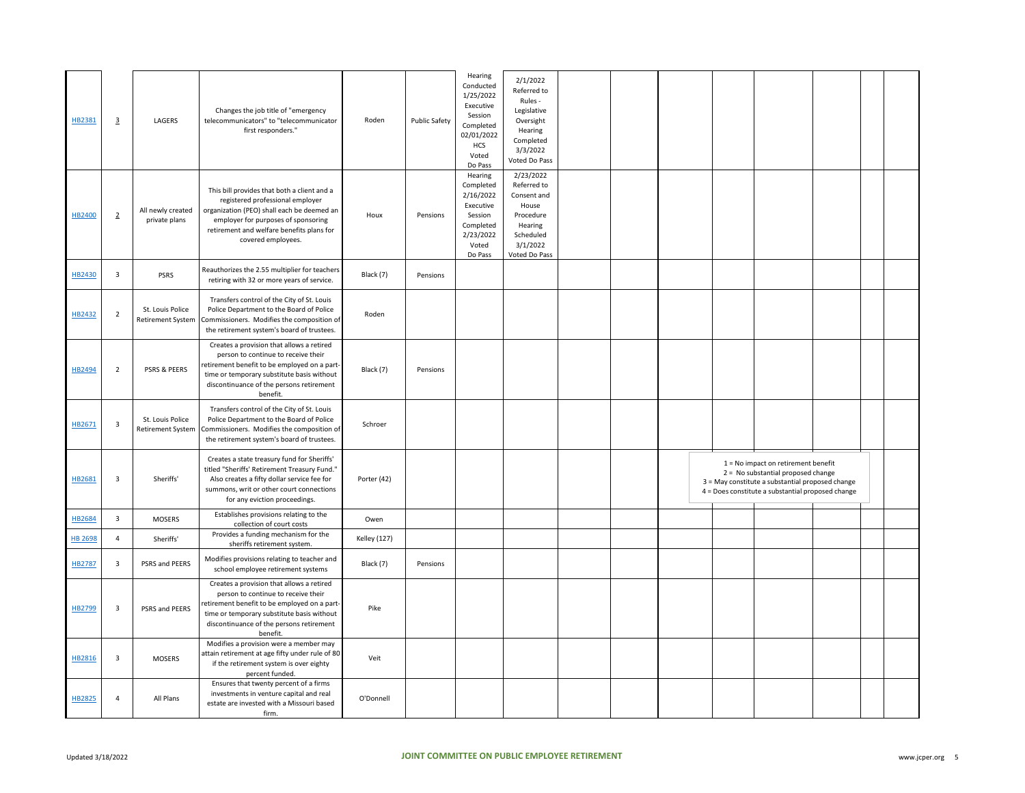| HB2381  | $\overline{3}$          | LAGERS                                       | Changes the job title of "emergency<br>telecommunicators" to "telecommunicator<br>first responders."                                                                                                                                    | Roden               | <b>Public Safety</b> | Hearing<br>Conducted<br>1/25/2022<br>Executive<br>Session<br>Completed<br>02/01/2022<br><b>HCS</b><br>Voted<br>Do Pass | 2/1/2022<br>Referred to<br>Rules -<br>Legislative<br>Oversight<br>Hearing<br>Completed<br>3/3/2022<br>Voted Do Pass |  |  |                                                                                                                                                                                      |  |  |
|---------|-------------------------|----------------------------------------------|-----------------------------------------------------------------------------------------------------------------------------------------------------------------------------------------------------------------------------------------|---------------------|----------------------|------------------------------------------------------------------------------------------------------------------------|---------------------------------------------------------------------------------------------------------------------|--|--|--------------------------------------------------------------------------------------------------------------------------------------------------------------------------------------|--|--|
| HB2400  | $\overline{2}$          | All newly created<br>private plans           | This bill provides that both a client and a<br>registered professional employer<br>organization (PEO) shall each be deemed an<br>employer for purposes of sponsoring<br>retirement and welfare benefits plans for<br>covered employees. | Houx                | Pensions             | Hearing<br>Completed<br>2/16/2022<br>Executive<br>Session<br>Completed<br>2/23/2022<br>Voted<br>Do Pass                | 2/23/2022<br>Referred to<br>Consent and<br>House<br>Procedure<br>Hearing<br>Scheduled<br>3/1/2022<br>Voted Do Pass  |  |  |                                                                                                                                                                                      |  |  |
| HB2430  | $\overline{\mathbf{3}}$ | <b>PSRS</b>                                  | Reauthorizes the 2.55 multiplier for teachers<br>retiring with 32 or more years of service.                                                                                                                                             | Black (7)           | Pensions             |                                                                                                                        |                                                                                                                     |  |  |                                                                                                                                                                                      |  |  |
| HB2432  | $\overline{2}$          | St. Louis Police<br><b>Retirement System</b> | Transfers control of the City of St. Louis<br>Police Department to the Board of Police<br>Commissioners. Modifies the composition of<br>the retirement system's board of trustees.                                                      | Roden               |                      |                                                                                                                        |                                                                                                                     |  |  |                                                                                                                                                                                      |  |  |
| HB2494  | $\overline{2}$          | <b>PSRS &amp; PEERS</b>                      | Creates a provision that allows a retired<br>person to continue to receive their<br>retirement benefit to be employed on a part-<br>time or temporary substitute basis without<br>discontinuance of the persons retirement<br>benefit.  | Black (7)           | Pensions             |                                                                                                                        |                                                                                                                     |  |  |                                                                                                                                                                                      |  |  |
| HB2671  | $\overline{\mathbf{3}}$ | St. Louis Police<br><b>Retirement System</b> | Transfers control of the City of St. Louis<br>Police Department to the Board of Police<br>Commissioners. Modifies the composition of<br>the retirement system's board of trustees.                                                      | Schroer             |                      |                                                                                                                        |                                                                                                                     |  |  |                                                                                                                                                                                      |  |  |
| HB2681  | $\overline{\mathbf{3}}$ | Sheriffs'                                    | Creates a state treasury fund for Sheriffs'<br>titled "Sheriffs' Retirement Treasury Fund."<br>Also creates a fifty dollar service fee for<br>summons, writ or other court connections<br>for any eviction proceedings.                 | Porter (42)         |                      |                                                                                                                        |                                                                                                                     |  |  | $1 = No$ impact on retirement benefit<br>2 = No substantial proposed change<br>3 = May constitute a substantial proposed change<br>4 = Does constitute a substantial proposed change |  |  |
| HB2684  | $\overline{\mathbf{3}}$ | <b>MOSERS</b>                                | Establishes provisions relating to the<br>collection of court costs                                                                                                                                                                     | Owen                |                      |                                                                                                                        |                                                                                                                     |  |  |                                                                                                                                                                                      |  |  |
| HB 2698 | $\overline{4}$          | Sheriffs'                                    | Provides a funding mechanism for the<br>sheriffs retirement system.                                                                                                                                                                     | <b>Kelley (127)</b> |                      |                                                                                                                        |                                                                                                                     |  |  |                                                                                                                                                                                      |  |  |
| HB2787  | $\overline{\mathbf{3}}$ | PSRS and PEERS                               | Modifies provisions relating to teacher and<br>school employee retirement systems                                                                                                                                                       | Black (7)           | Pensions             |                                                                                                                        |                                                                                                                     |  |  |                                                                                                                                                                                      |  |  |
| HB2799  | $\overline{\mathbf{3}}$ | PSRS and PEERS                               | Creates a provision that allows a retired<br>person to continue to receive their<br>retirement benefit to be employed on a part-<br>time or temporary substitute basis without<br>discontinuance of the persons retirement<br>benefit.  | Pike                |                      |                                                                                                                        |                                                                                                                     |  |  |                                                                                                                                                                                      |  |  |
| HB2816  | $\overline{\mathbf{3}}$ | MOSERS                                       | Modifies a provision were a member may<br>attain retirement at age fifty under rule of 80<br>if the retirement system is over eighty<br>percent funded.                                                                                 | Veit                |                      |                                                                                                                        |                                                                                                                     |  |  |                                                                                                                                                                                      |  |  |
| HB2825  | $\overline{4}$          | All Plans                                    | Ensures that twenty percent of a firms<br>investments in venture capital and real<br>estate are invested with a Missouri based<br>firm.                                                                                                 | O'Donnell           |                      |                                                                                                                        |                                                                                                                     |  |  |                                                                                                                                                                                      |  |  |